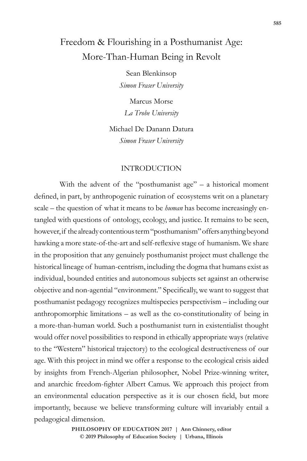# Freedom & Flourishing in a Posthumanist Age: More-Than-Human Being in Revolt

Sean Blenkinsop *Simon Fraser University*

Marcus Morse *La Trobe University*

Michael De Danann Datura *Simon Fraser University*

# INTRODUCTION

With the advent of the "posthumanist age" – a historical moment defined, in part, by anthropogenic ruination of ecosystems writ on a planetary scale – the question of what it means to be *human* has become increasingly entangled with questions of ontology, ecology, and justice. It remains to be seen, however, if the already contentious term "posthumanism" offers anything beyond hawking a more state-of-the-art and self-reflexive stage of humanism. We share in the proposition that any genuinely posthumanist project must challenge the historical lineage of human-centrism, including the dogma that humans exist as individual, bounded entities and autonomous subjects set against an otherwise objective and non-agential "environment." Specifically, we want to suggest that posthumanist pedagogy recognizes multispecies perspectivism – including our anthropomorphic limitations – as well as the co-constitutionality of being in a more-than-human world. Such a posthumanist turn in existentialist thought would offer novel possibilities to respond in ethically appropriate ways (relative to the "Western" historical trajectory) to the ecological destructiveness of our age. With this project in mind we offer a response to the ecological crisis aided by insights from French-Algerian philosopher, Nobel Prize-winning writer, and anarchic freedom-fighter Albert Camus. We approach this project from an environmental education perspective as it is our chosen field, but more importantly, because we believe transforming culture will invariably entail a pedagogical dimension.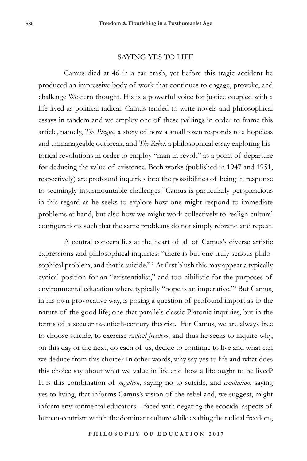#### SAYING YES TO LIFE

Camus died at 46 in a car crash, yet before this tragic accident he produced an impressive body of work that continues to engage, provoke, and challenge Western thought. His is a powerful voice for justice coupled with a life lived as political radical. Camus tended to write novels and philosophical essays in tandem and we employ one of these pairings in order to frame this article, namely, *The Plague*, a story of how a small town responds to a hopeless and unmanageable outbreak, and *The Rebel,* a philosophical essay exploring historical revolutions in order to employ "man in revolt" as a point of departure for deducing the value of existence. Both works (published in 1947 and 1951, respectively) are profound inquiries into the possibilities of being in response to seemingly insurmountable challenges.<sup>1</sup> Camus is particularly perspicacious in this regard as he seeks to explore how one might respond to immediate problems at hand, but also how we might work collectively to realign cultural configurations such that the same problems do not simply rebrand and repeat.

A central concern lies at the heart of all of Camus's diverse artistic expressions and philosophical inquiries: "there is but one truly serious philosophical problem, and that is suicide."<sup>2</sup> At first blush this may appear a typically cynical position for an "existentialist," and too nihilistic for the purposes of environmental education where typically "hope is an imperative."<sup>3</sup> But Camus, in his own provocative way, is posing a question of profound import as to the nature of the good life; one that parallels classic Platonic inquiries, but in the terms of a secular twentieth-century theorist. For Camus, we are always free to choose suicide, to exercise *radical freedom*, and thus he seeks to inquire why, on this day or the next, do each of us, decide to continue to live and what can we deduce from this choice? In other words, why say yes to life and what does this choice say about what we value in life and how a life ought to be lived? It is this combination of *negation*, saying no to suicide, and *exaltation*, saying yes to living, that informs Camus's vision of the rebel and, we suggest, might inform environmental educators – faced with negating the ecocidal aspects of human-centrism within the dominant culture while exalting the radical freedom,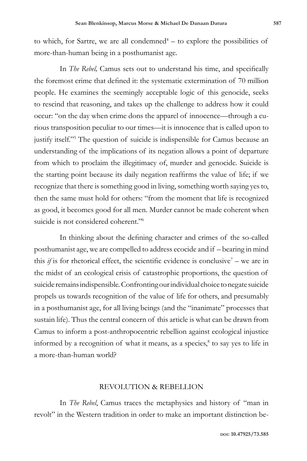to which, for Sartre, we are all condemned $4 -$  to explore the possibilities of more-than-human being in a posthumanist age.

In *The Rebel,* Camus sets out to understand his time, and specifically the foremost crime that defined it: the systematic extermination of 70 million people. He examines the seemingly acceptable logic of this genocide, seeks to rescind that reasoning, and takes up the challenge to address how it could occur: "on the day when crime dons the apparel of innocence—through a curious transposition peculiar to our times—it is innocence that is called upon to justify itself."5 The question of suicide is indispensible for Camus because an understanding of the implications of its negation allows a point of departure from which to proclaim the illegitimacy of, murder and genocide. Suicide is the starting point because its daily negation reaffirms the value of life; if we recognize that there is something good in living, something worth saying yes to, then the same must hold for others: "from the moment that life is recognized as good, it becomes good for all men. Murder cannot be made coherent when suicide is not considered coherent."<sup>6</sup>

In thinking about the defining character and crimes of the so-called posthumanist age, we are compelled to address ecocide and if – bearing in mind this *if* is for rhetorical effect, the scientific evidence is conclusive<sup>7</sup> – we are in the midst of an ecological crisis of catastrophic proportions, the question of suicide remains indispensible. Confronting our individual choice to negate suicide propels us towards recognition of the value of life for others, and presumably in a posthumanist age, for all living beings (and the "inanimate" processes that sustain life). Thus the central concern of this article is what can be drawn from Camus to inform a post-anthropocentric rebellion against ecological injustice informed by a recognition of what it means, as a species,<sup>8</sup> to say yes to life in a more-than-human world?

## REVOLUTION & REBELLION

In *The Rebel*, Camus traces the metaphysics and history of "man in revolt" in the Western tradition in order to make an important distinction be-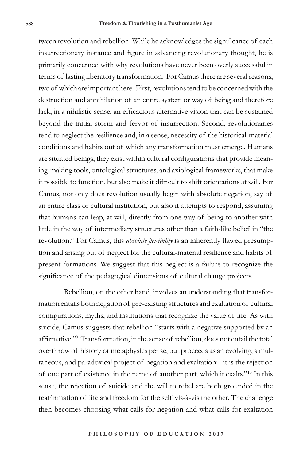tween revolution and rebellion. While he acknowledges the significance of each insurrectionary instance and figure in advancing revolutionary thought, he is primarily concerned with why revolutions have never been overly successful in terms of lasting liberatory transformation. For Camus there are several reasons, two of which are important here. First, revolutions tend to be concerned with the destruction and annihilation of an entire system or way of being and therefore lack, in a nihilistic sense, an efficacious alternative vision that can be sustained beyond the initial storm and fervor of insurrection. Second, revolutionaries tend to neglect the resilience and, in a sense, necessity of the historical-material conditions and habits out of which any transformation must emerge. Humans are situated beings, they exist within cultural configurations that provide meaning-making tools, ontological structures, and axiological frameworks, that make it possible to function, but also make it difficult to shift orientations at will. For Camus, not only does revolution usually begin with absolute negation, say of an entire class or cultural institution, but also it attempts to respond, assuming that humans can leap, at will, directly from one way of being to another with little in the way of intermediary structures other than a faith-like belief in "the revolution." For Camus, this *absolute flexibility* is an inherently flawed presumption and arising out of neglect for the cultural-material resilience and habits of present formations. We suggest that this neglect is a failure to recognize the significance of the pedagogical dimensions of cultural change projects.

Rebellion, on the other hand, involves an understanding that transformation entails both negation of pre-existing structures and exaltation of cultural configurations, myths, and institutions that recognize the value of life. As with suicide, Camus suggests that rebellion "starts with a negative supported by an affirmative."9 Transformation, in the sense of rebellion, does not entail the total overthrow of history or metaphysics per se, but proceeds as an evolving, simultaneous, and paradoxical project of negation and exaltation: "it is the rejection of one part of existence in the name of another part, which it exalts."10 In this sense, the rejection of suicide and the will to rebel are both grounded in the reaffirmation of life and freedom for the self vis-à-vis the other. The challenge then becomes choosing what calls for negation and what calls for exaltation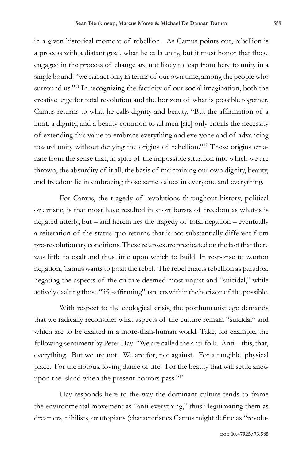in a given historical moment of rebellion. As Camus points out, rebellion is a process with a distant goal, what he calls unity, but it must honor that those engaged in the process of change are not likely to leap from here to unity in a single bound: "we can act only in terms of our own time, among the people who surround us."<sup>11</sup> In recognizing the facticity of our social imagination, both the creative urge for total revolution and the horizon of what is possible together, Camus returns to what he calls dignity and beauty. "But the affirmation of a limit, a dignity, and a beauty common to all men [sic] only entails the necessity of extending this value to embrace everything and everyone and of advancing toward unity without denying the origins of rebellion."12 These origins emanate from the sense that, in spite of the impossible situation into which we are thrown, the absurdity of it all, the basis of maintaining our own dignity, beauty, and freedom lie in embracing those same values in everyone and everything.

For Camus, the tragedy of revolutions throughout history, political or artistic, is that most have resulted in short bursts of freedom as what-is is negated utterly, but – and herein lies the tragedy of total negation – eventually a reiteration of the status quo returns that is not substantially different from pre-revolutionary conditions. These relapses are predicated on the fact that there was little to exalt and thus little upon which to build. In response to wanton negation, Camus wants to posit the rebel. The rebel enacts rebellion as paradox, negating the aspects of the culture deemed most unjust and "suicidal," while actively exalting those "life-affirming" aspects within the horizon of the possible.

With respect to the ecological crisis, the posthumanist age demands that we radically reconsider what aspects of the culture remain "suicidal" and which are to be exalted in a more-than-human world. Take, for example, the following sentiment by Peter Hay: "We are called the anti-folk. Anti – this, that, everything. But we are not. We are for, not against. For a tangible, physical place. For the riotous, loving dance of life. For the beauty that will settle anew upon the island when the present horrors pass."<sup>13</sup>

Hay responds here to the way the dominant culture tends to frame the environmental movement as "anti-everything," thus illegitimating them as dreamers, nihilists, or utopians (characteristics Camus might define as "revolu-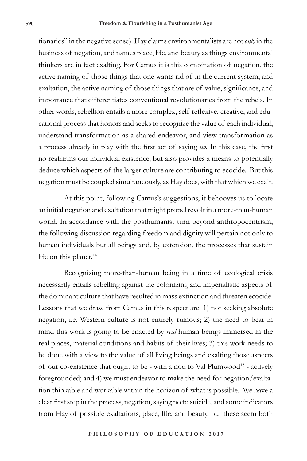tionaries" in the negative sense). Hay claims environmentalists are not *only* in the business of negation, and names place, life, and beauty as things environmental thinkers are in fact exalting. For Camus it is this combination of negation, the active naming of those things that one wants rid of in the current system, and exaltation, the active naming of those things that are of value, significance, and importance that differentiates conventional revolutionaries from the rebels. In other words, rebellion entails a more complex, self-reflexive, creative, and educational process that honors and seeks to recognize the value of each individual, understand transformation as a shared endeavor, and view transformation as a process already in play with the first act of saying *no*. In this case, the first no reaffirms our individual existence, but also provides a means to potentially deduce which aspects of the larger culture are contributing to ecocide. But this negation must be coupled simultaneously, as Hay does, with that which we exalt.

At this point, following Camus's suggestions, it behooves us to locate an initial negation and exaltation that might propel revolt in a more-than-human world. In accordance with the posthumanist turn beyond anthropocentrism, the following discussion regarding freedom and dignity will pertain not only to human individuals but all beings and, by extension, the processes that sustain life on this planet.<sup>14</sup>

Recognizing more-than-human being in a time of ecological crisis necessarily entails rebelling against the colonizing and imperialistic aspects of the dominant culture that have resulted in mass extinction and threaten ecocide. Lessons that we draw from Camus in this respect are: 1) not seeking absolute negation, i.e. Western culture is not entirely ruinous; 2) the need to bear in mind this work is going to be enacted by *real* human beings immersed in the real places, material conditions and habits of their lives; 3) this work needs to be done with a view to the value of all living beings and exalting those aspects of our co-existence that ought to be - with a nod to Val Plumwood<sup>15</sup> - actively foregrounded; and 4) we must endeavor to make the need for negation/exaltation thinkable and workable within the horizon of what is possible. We have a clear first step in the process, negation, saying no to suicide, and some indicators from Hay of possible exaltations, place, life, and beauty, but these seem both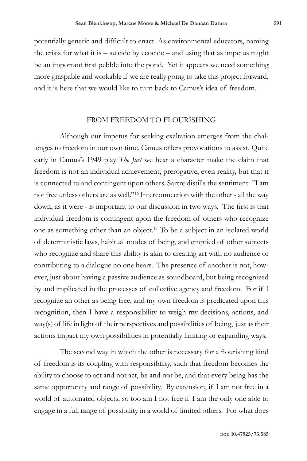potentially generic and difficult to enact. As environmental educators, naming the crisis for what it is – suicide by ecocide – and using that as impetus might be an important first pebble into the pond. Yet it appears we need something more graspable and workable if we are really going to take this project forward, and it is here that we would like to turn back to Camus's idea of freedom.

#### FROM FREEDOM TO FLOURISHING

Although our impetus for seeking exaltation emerges from the challenges to freedom in our own time, Camus offers provocations to assist. Quite early in Camus's 1949 play *The Just* we hear a character make the claim that freedom is not an individual achievement, prerogative, even reality, but that it is connected to and contingent upon others. Sartre distills the sentiment: "I am not free unless others are as well."16 Interconnection with the other - all the way down, as it were - is important to our discussion in two ways. The first is that individual freedom is contingent upon the freedom of others who recognize one as something other than an object.17 To be a subject in an isolated world of deterministic laws, habitual modes of being, and emptied of other subjects who recognize and share this ability is akin to creating art with no audience or contributing to a dialogue no one hears. The presence of another is not, however, just about having a passive audience as soundboard, but being recognized by and implicated in the processes of collective agency and freedom. For if I recognize an other as being free, and my own freedom is predicated upon this recognition, then I have a responsibility to weigh my decisions, actions, and way(s) of life in light of their perspectives and possibilities of being, just as their actions impact my own possibilities in potentially limiting or expanding ways.

The second way in which the other is necessary for a flourishing kind of freedom is its coupling with responsibility, such that freedom becomes the ability to choose to act and not act, be and not be, and that every being has the same opportunity and range of possibility. By extension, if I am not free in a world of automated objects, so too am I not free if I am the only one able to engage in a full range of possibility in a world of limited others. For what does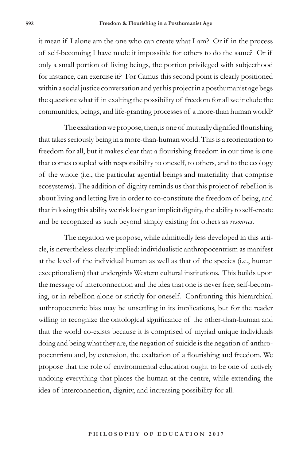it mean if I alone am the one who can create what I am? Or if in the process of self-becoming I have made it impossible for others to do the same? Or if only a small portion of living beings, the portion privileged with subjecthood for instance, can exercise it? For Camus this second point is clearly positioned within a social justice conversation and yet his project in a posthumanist age begs the question: what if in exalting the possibility of freedom for all we include the communities, beings, and life-granting processes of a more-than human world?

The exaltation we propose, then, is one of mutually dignified flourishing that takes seriously being in a more-than-human world. This is a reorientation to freedom for all, but it makes clear that a flourishing freedom in our time is one that comes coupled with responsibility to oneself, to others, and to the ecology of the whole (i.e., the particular agential beings and materiality that comprise ecosystems). The addition of dignity reminds us that this project of rebellion is about living and letting live in order to co-constitute the freedom of being, and that in losing this ability we risk losing an implicit dignity, the ability to self-create and be recognized as such beyond simply existing for others as *resources*.

The negation we propose, while admittedly less developed in this article, is nevertheless clearly implied: individualistic anthropocentrism as manifest at the level of the individual human as well as that of the species (i.e., human exceptionalism) that undergirds Western cultural institutions. This builds upon the message of interconnection and the idea that one is never free, self-becoming, or in rebellion alone or strictly for oneself. Confronting this hierarchical anthropocentric bias may be unsettling in its implications, but for the reader willing to recognize the ontological significance of the other-than-human and that the world co-exists because it is comprised of myriad unique individuals doing and being what they are, the negation of suicide is the negation of anthropocentrism and, by extension, the exaltation of a flourishing and freedom. We propose that the role of environmental education ought to be one of actively undoing everything that places the human at the centre, while extending the idea of interconnection, dignity, and increasing possibility for all.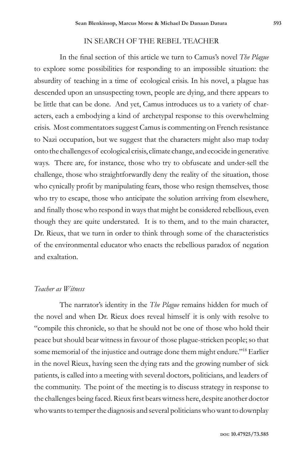## IN SEARCH OF THE REBEL TEACHER

In the final section of this article we turn to Camus's novel *The Plague*  to explore some possibilities for responding to an impossible situation: the absurdity of teaching in a time of ecological crisis. In his novel, a plague has descended upon an unsuspecting town, people are dying, and there appears to be little that can be done. And yet, Camus introduces us to a variety of characters, each a embodying a kind of archetypal response to this overwhelming crisis. Most commentators suggest Camus is commenting on French resistance to Nazi occupation, but we suggest that the characters might also map today onto the challenges of ecological crisis, climate change, and ecocide in generative ways. There are, for instance, those who try to obfuscate and under-sell the challenge, those who straightforwardly deny the reality of the situation, those who cynically profit by manipulating fears, those who resign themselves, those who try to escape, those who anticipate the solution arriving from elsewhere, and finally those who respond in ways that might be considered rebellious, even though they are quite understated. It is to them, and to the main character, Dr. Rieux, that we turn in order to think through some of the characteristics of the environmental educator who enacts the rebellious paradox of negation and exaltation.

# *Teacher as Witness*

The narrator's identity in the *The Plague* remains hidden for much of the novel and when Dr. Rieux does reveal himself it is only with resolve to "compile this chronicle, so that he should not be one of those who hold their peace but should bear witness in favour of those plague-stricken people; so that some memorial of the injustice and outrage done them might endure."18 Earlier in the novel Rieux, having seen the dying rats and the growing number of sick patients, is called into a meeting with several doctors, politicians, and leaders of the community. The point of the meeting is to discuss strategy in response to the challenges being faced. Rieux first bears witness here, despite another doctor who wants to temper the diagnosis and several politicians who want to downplay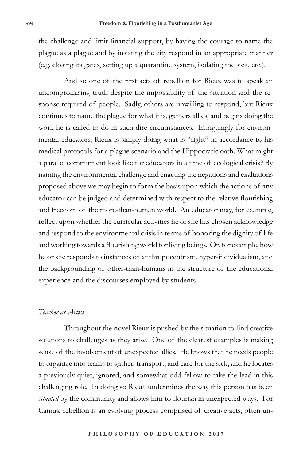the challenge and limit financial support, by having the courage to name the plague as a plague and by insisting the city respond in an appropriate manner (e.g. closing its gates, setting up a quarantine system, isolating the sick, etc.).

And so one of the first acts of rebellion for Rieux was to speak an uncompromising truth despite the impossibility of the situation and the response required of people. Sadly, others are unwilling to respond, but Rieux continues to name the plague for what it is, gathers allies, and begins doing the work he is called to do in such dire circumstances. Intriguingly for environmental educators, Rieux is simply doing what is "right" in accordance to his medical protocols for a plague scenario and the Hippocratic oath. What might a parallel commitment look like for educators in a time of ecological crisis? By naming the environmental challenge and enacting the negations and exaltations proposed above we may begin to form the basis upon which the actions of any educator can be judged and determined with respect to the relative flourishing and freedom of the more-than-human world. An educator may, for example, reflect upon whether the curricular activities he or she has chosen acknowledge and respond to the environmental crisis in terms of honoring the dignity of life and working towards a flourishing world for living beings. Or, for example, how he or she responds to instances of anthropocentrism, hyper-individualism, and the backgrounding of other-than-humans in the structure of the educational experience and the discourses employed by students.

## *Teacher as Artist*

Throughout the novel Rieux is pushed by the situation to find creative solutions to challenges as they arise. One of the clearest examples is making sense of the involvement of unexpected allies. He knows that he needs people to organize into teams to gather, transport, and care for the sick, and he locates a previously quiet, ignored, and somewhat odd fellow to take the lead in this challenging role. In doing so Rieux undermines the way this person has been *situated* by the community and allows him to flourish in unexpected ways. For Camus, rebellion is an evolving process comprised of creative acts, often un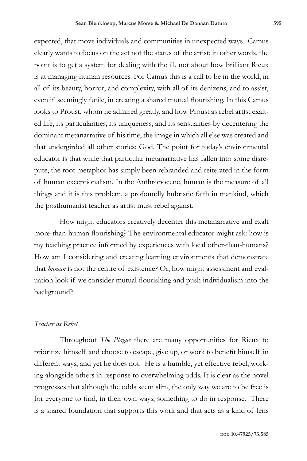expected, that move individuals and communities in unexpected ways. Camus clearly wants to focus on the act not the status of the artist; in other words, the point is to get a system for dealing with the ill, not about how brilliant Rieux is at managing human resources. For Camus this is a call to be in the world, in all of its beauty, horror, and complexity, with all of its denizens, and to assist, even if seemingly futile, in creating a shared mutual flourishing. In this Camus looks to Proust, whom he admired greatly, and how Proust as rebel artist exalted life, its particularities, its uniqueness, and its sensualities by decentering the dominant metanarrative of his time, the image in which all else was created and that undergirded all other stories: God. The point for today's environmental educator is that while that particular metanarrative has fallen into some disrepute, the root metaphor has simply been rebranded and reiterated in the form of human exceptionalism. In the Anthropocene, human is the measure of all things and it is this problem, a profoundly hubristic faith in mankind, which the posthumanist teacher as artist must rebel against.

How might educators creatively decenter this metanarrative and exalt more-than-human flourishing? The environmental educator might ask: how is my teaching practice informed by experiences with local other-than-humans? How am I considering and creating learning environments that demonstrate that *human* is not the centre of existence? Or, how might assessment and evaluation look if we consider mutual flourishing and push individualism into the background?

## *Teacher as Rebel*

Throughout *The Plague* there are many opportunities for Rieux to prioritize himself and choose to escape, give up, or work to benefit himself in different ways, and yet he does not. He is a humble, yet effective rebel, working alongside others in response to overwhelming odds. It is clear as the novel progresses that although the odds seem slim, the only way we are to be free is for everyone to find, in their own ways, something to do in response. There is a shared foundation that supports this work and that acts as a kind of lens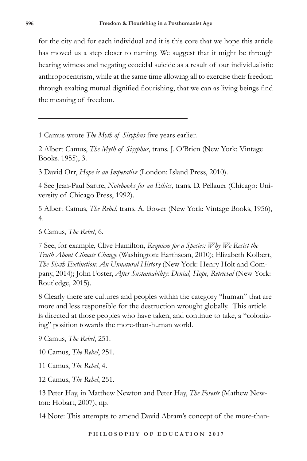for the city and for each individual and it is this core that we hope this article has moved us a step closer to naming. We suggest that it might be through bearing witness and negating ecocidal suicide as a result of our individualistic anthropocentrism, while at the same time allowing all to exercise their freedom through exalting mutual dignified flourishing, that we can as living beings find the meaning of freedom.

1 Camus wrote *The Myth of Sisyphus* five years earlier.

2 Albert Camus, *The Myth of Sisyphus*, trans. J. O'Brien (New York: Vintage Books. 1955), 3.

3 David Orr, *Hope is an Imperative* (London: Island Press, 2010).

4 See Jean-Paul Sartre, *Notebooks for an Ethics*, trans. D. Pellauer (Chicago: University of Chicago Press, 1992).

5 Albert Camus, *The Rebel*, trans. A. Bower (New York: Vintage Books, 1956), 4.

6 Camus, *The Rebel*, 6*.*

7 See, for example, Clive Hamilton, *Requiem for a Species: Why We Resist the Truth About Climate Change* (Washington: Earthscan, 2010); Elizabeth Kolbert, *The Sixth Extinction: An Unnatural History* (New York: Henry Holt and Company, 2014); John Foster, *After Sustainability: Denial, Hope, Retrieval* (New York: Routledge, 2015).

8 Clearly there are cultures and peoples within the category "human" that are more and less responsible for the destruction wrought globally. This article is directed at those peoples who have taken, and continue to take, a "colonizing" position towards the more-than-human world.

9 Camus, *The Rebel*, 251.

10 Camus, *The Rebel*, 251.

11 Camus, *The Rebel*, 4.

12 Camus, *The Rebel*, 251.

13 Peter Hay, in Matthew Newton and Peter Hay, *The Forests* (Mathew Newton: Hobart, 2007), np.

14 Note: This attempts to amend David Abram's concept of the more-than-